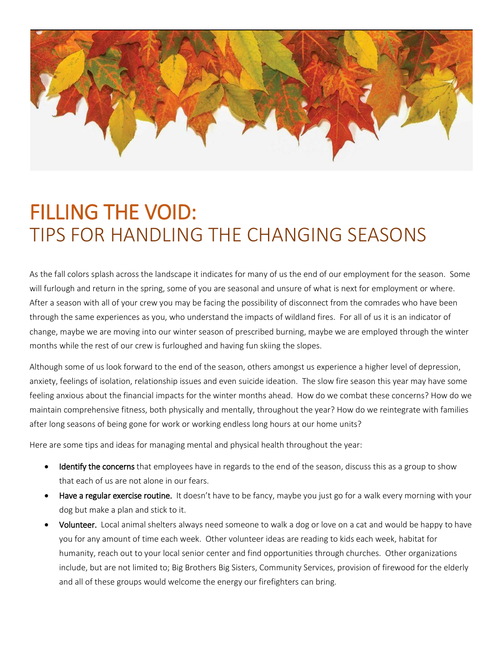

# FILLING THE VOID:<br>TIPS FOR HANDLING THE CHANGING SEASONS

As the fall colors splash across the landscape it indicates for many of us the end of our employment for the season. Some will furlough and return in the spring, some of you are seasonal and unsure of what is next for employment or where. After a season with all of your crew you may be facing the possibility of disconnect from the comrades who have been through the same experiences as you, who understand the impacts of wildland fires. For all of us it is an indicator of change, maybe we are moving into our winter season of prescribed burning, maybe we are employed through the winter months while the rest of our crew is furloughed and having fun skiing the slopes.

Although some of us look forward to the end of the season, others amongst us experience a higher level of depression, anxiety, feelings of isolation, relationship issues and even suicide ideation. The slow fire season this year may have some feeling anxious about the financial impacts for the winter months ahead. How do we combat these concerns? How do we maintain comprehensive fitness, both physically and mentally, throughout the year? How do we reintegrate with families after long seasons of being gone for work or working endless long hours at our home units?

Here are some tips and ideas for managing mental and physical health throughout the year:

- **Identify the concerns** that employees have in regards to the end of the season, discuss this as a group to show that each of us are not alone in our fears.
- Have a regular exercise routine. It doesn't have to be fancy, maybe you just go for a walk every morning with your dog but make a plan and stick to it.
- **Volunteer.** Local animal shelters always need someone to walk a dog or love on a cat and would be happy to have you for any amount of time each week. Other volunteer ideas are reading to kids each week, habitat for humanity, reach out to your local senior center and find opportunities through churches. Other organizations include, but are not limited to; Big Brothers Big Sisters, Community Services, provision of firewood for the elderly and all of these groups would welcome the energy our firefighters can bring.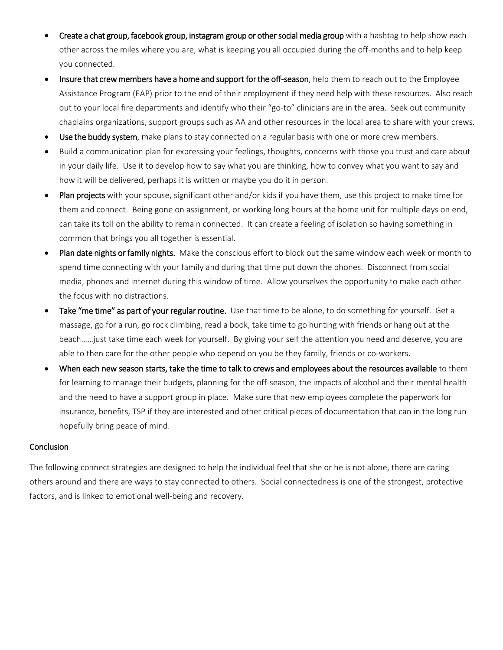- Create a chat group, facebook group, instagram group or other social media group with a hashtag to help show each other across the miles where you are, what is keeping you all occupied during the off-months and to help keep you connected.
- Insure that crew members have a home and support for the off-season, help them to reach out to the Employee Assistance Program (EAP) prior to the end of their employment if they need help with these resources. Also reach out to your local fire departments and identify who their "go-to" clinicians are in the area. Seek out community chaplains organizations, support groups such as AA and other resources in the local area to share with your crews.
- Use the buddy system, make plans to stay connected on a regular basis with one or more crew members.
- Build a communication plan for expressing your feelings, thoughts, concerns with those you trust and care about in your daily life. Use it to develop how to say what you are thinking, how to convey what you want to say and how it will be delivered, perhaps it is written or maybe you do it in person.
- Plan projects with your spouse, significant other and/or kids if you have them, use this project to make time for them and connect. Being gone on assignment, or working long hours at the home unit for multiple days on end, can take its toll on the ability to remain connected. It can create a feeling of isolation so having something in common that brings you all together is essential.
- Plan date nights or family nights. Make the conscious effort to block out the same window each week or month to spend time connecting with your family and during that time put down the phones. Disconnect from social media, phones and internet during this window of time. Allow yourselves the opportunity to make each other the focus with no distractions.
- Take "me time" as part of your regular routine. Use that time to be alone, to do something for yourself. Get a massage, go for a run, go rock climbing, read a book, take time to go hunting with friends or hang out at the beach……just take time each week for yourself. By giving your self the attention you need and deserve, you are able to then care for the other people who depend on you be they family, friends or co-workers.
- When each new season starts, take the time to talk to crews and employees about the resources available to them for learning to manage their budgets, planning for the off-season, the impacts of alcohol and their mental health and the need to have a support group in place. Make sure that new employees complete the paperwork for insurance, benefits, TSP if they are interested and other critical pieces of documentation that can in the long run hopefully bring peace of mind.

#### **Conclusion**

The following connect strategies are designed to help the individual feel that she or he is not alone, there are caring others around and there are ways to stay connected to others. Social connectedness is one of the strongest, protective factors, and is linked to emotional well-being and recovery.